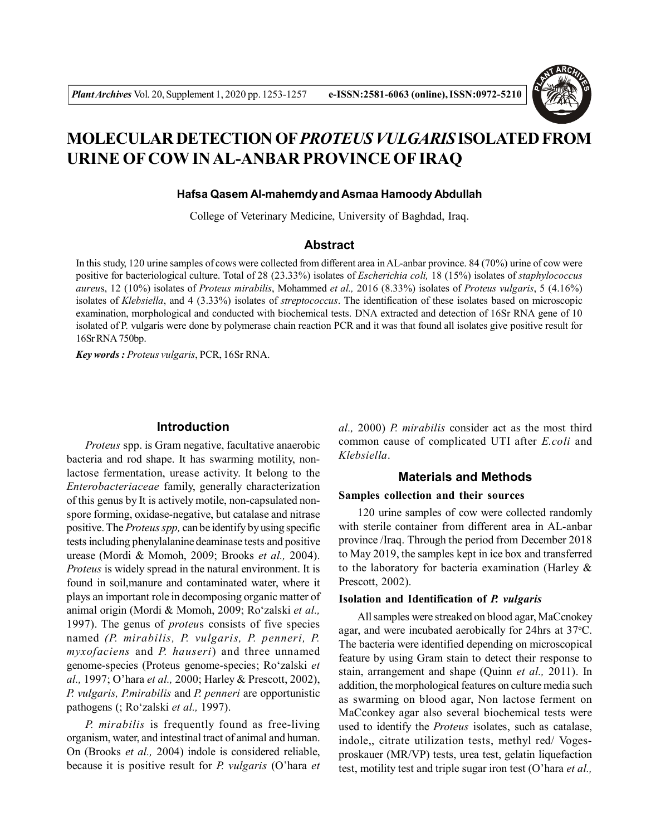

# **MOLECULAR DETECTION OF***PROTEUS VULGARIS* **ISOLATED FROM URINE OF COW IN AL-ANBAR PROVINCE OF IRAQ**

#### **Hafsa Qasem Al-mahemdyand Asmaa Hamoody Abdullah**

College of Veterinary Medicine, University of Baghdad, Iraq.

#### **Abstract**

In this study, 120 urine samples of cows were collected from different area in AL-anbar province. 84 (70%) urine of cow were positive for bacteriological culture. Total of 28 (23.33%) isolates of *Escherichia coli,* 18 (15%) isolates of *staphylococcus aureu*s, 12 (10%) isolates of *Proteus mirabilis*, Mohammed *et al.,* 2016 (8.33%) isolates of *Proteus vulgaris*, 5 (4.16%) isolates of *Klebsiella*, and 4 (3.33%) isolates of *streptococcus*. The identification of these isolates based on microscopic examination, morphological and conducted with biochemical tests. DNA extracted and detection of 16Sr RNA gene of 10 isolated of P. vulgaris were done by polymerase chain reaction PCR and it was that found all isolates give positive result for 16Sr RNA 750bp.

*Key words : Proteus vulgaris*, PCR, 16Sr RNA.

# **Introduction**

*Proteus* spp. is Gram negative, facultative anaerobic bacteria and rod shape. It has swarming motility, nonlactose fermentation, urease activity. It belong to the *Enterobacteriaceae* family, generally characterization of this genus by It is actively motile, non-capsulated nonspore forming, oxidase-negative, but catalase and nitrase positive. The *Proteus spp,* can be identify by using specific tests including phenylalanine deaminase tests and positive urease (Mordi & Momoh, 2009; Brooks *et al.,* 2004). *Proteus* is widely spread in the natural environment. It is found in soil,manure and contaminated water, where it plays an important role in decomposing organic matter of animal origin (Mordi & Momoh, 2009; Ro'zalski *et al.,* 1997). The genus of *proteu*s consists of five species named *(P. mirabilis, P. vulgaris, P. penneri, P. myxofaciens* and *P. hauseri*) and three unnamed genome-species (Proteus genome-species; Ro'zalski *et al.,* 1997; O'hara *et al.,* 2000; Harley & Prescott, 2002), *P. vulgaris, P.mirabilis* and *P. penneri* are opportunistic pathogens (; Ro'zalski *et al.,* 1997).

*P. mirabilis* is frequently found as free-living organism, water, and intestinal tract of animal and human. On (Brooks *et al.,* 2004) indole is considered reliable, because it is positive result for *P. vulgaris* (O'hara *et* *al.,* 2000) *P. mirabilis* consider act as the most third common cause of complicated UTI after *E.coli* and *Klebsiella*.

# **Materials and Methods**

#### **Samples collection and their sources**

120 urine samples of cow were collected randomly with sterile container from different area in AL-anbar province /Iraq. Through the period from December 2018 to May 2019, the samples kept in ice box and transferred to the laboratory for bacteria examination (Harley & Prescott, 2002).

#### **Isolation and Identification of** *P. vulgaris*

All samples were streaked on blood agar, MaCcnokey agar, and were incubated aerobically for 24hrs at  $37^{\circ}$ C. The bacteria were identified depending on microscopical feature by using Gram stain to detect their response to stain, arrangement and shape (Quinn *et al.,* 2011). In addition, the morphological features on culture media such as swarming on blood agar, Non lactose ferment on MaCconkey agar also several biochemical tests were used to identify the *Proteus* isolates, such as catalase, indole,, citrate utilization tests, methyl red/ Vogesproskauer (MR/VP) tests, urea test, gelatin liquefaction test, motility test and triple sugar iron test (O'hara *et al.,*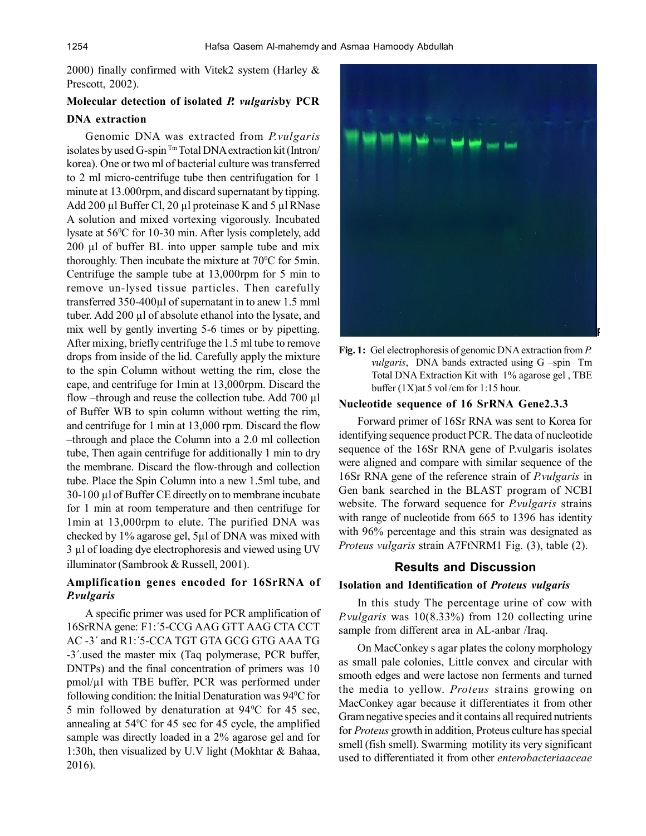2000) finally confirmed with Vitek2 system (Harley & Prescott, 2002).

# **Molecular detection of isolated** *P. vulgaris***by PCR DNA extraction**

Genomic DNA was extracted from *P.vulgaris* isolates by used G-spin <sup>Tm</sup> Total DNA extraction kit (Intron/ korea). One or two ml of bacterial culture was transferred to 2 ml micro-centrifuge tube then centrifugation for 1 minute at 13.000rpm, and discard supernatant by tipping. Add 200 µl Buffer Cl, 20 µl proteinase K and 5 µl RNase A solution and mixed vortexing vigorously. Incubated lysate at 56<sup>°</sup>C for 10-30 min. After lysis completely, add 200 µl of buffer BL into upper sample tube and mix thoroughly. Then incubate the mixture at  $70^{\circ}$ C for 5min. Centrifuge the sample tube at 13,000rpm for 5 min to remove un-lysed tissue particles. Then carefully transferred 350-400µl of supernatant in to anew 1.5 mml tuber. Add 200 µl of absolute ethanol into the lysate, and mix well by gently inverting 5-6 times or by pipetting. After mixing, briefly centrifuge the 1.5 ml tube to remove drops from inside of the lid. Carefully apply the mixture to the spin Column without wetting the rim, close the cape, and centrifuge for 1min at 13,000rpm. Discard the flow –through and reuse the collection tube. Add 700 µl of Buffer WB to spin column without wetting the rim, and centrifuge for 1 min at 13,000 rpm. Discard the flow –through and place the Column into a 2.0 ml collection tube, Then again centrifuge for additionally 1 min to dry the membrane. Discard the flow-through and collection tube. Place the Spin Column into a new 1.5ml tube, and 30-100 µl of Buffer CE directly on to membrane incubate for 1 min at room temperature and then centrifuge for 1min at 13,000rpm to elute. The purified DNA was checked by 1% agarose gel, 5µl of DNA was mixed with 3 µl of loading dye electrophoresis and viewed using UV illuminator (Sambrook & Russell, 2001).

# **Amplification genes encoded for 16SrRNA of** *P.vulgaris*

A specific primer was used for PCR amplification of 16SrRNA gene: F1:´5-CCG AAG GTT AAG CTA CCT AC -3´ and R1:´5-CCA TGT GTA GCG GTG AAA TG -3´.used the master mix (Taq polymerase, PCR buffer, DNTPs) and the final concentration of primers was 10 pmol/µl with TBE buffer, PCR was performed under following condition: the Initial Denaturation was 94<sup>°</sup>C for 5 min followed by denaturation at  $94^{\circ}$ C for 45 sec, annealing at  $54^{\circ}$ C for 45 sec for 45 cycle, the amplified sample was directly loaded in a 2% agarose gel and for 1:30h, then visualized by U.V light (Mokhtar & Bahaa, 2016).



**Fig. 1:** Gel electrophoresis of genomic DNA extraction from *P. vulgaris*, DNA bands extracted using G –spin Tm Total DNA Extraction Kit with 1% agarose gel , TBE buffer (1X)at 5 vol /cm for 1:15 hour.

#### **Nucleotide sequence of 16 SrRNA Gene2.3.3**

Forward primer of 16Sr RNA was sent to Korea for identifying sequence product PCR. The data of nucleotide sequence of the 16Sr RNA gene of P.vulgaris isolates were aligned and compare with similar sequence of the 16Sr RNA gene of the reference strain of *P.vulgaris* in Gen bank searched in the BLAST program of NCBI website. The forward sequence for *P.vulgaris* strains with range of nucleotide from 665 to 1396 has identity with 96% percentage and this strain was designated as *Proteus vulgaris* strain A7FtNRM1 Fig. (3), table (2).

#### **Results and Discussion**

#### **Isolation and Identification of** *Proteus vulgaris*

In this study The percentage urine of cow with *P.vulgaris* was 10(8.33%) from 120 collecting urine sample from different area in AL-anbar /Iraq.

On MacConkey s agar plates the colony morphology as small pale colonies, Little convex and circular with smooth edges and were lactose non ferments and turned the media to yellow. *Proteus* strains growing on MacConkey agar because it differentiates it from other Gram negative species and it contains all required nutrients for *Proteus* growth in addition, Proteus culture has special smell (fish smell). Swarming motility its very significant used to differentiated it from other *enterobacteriaaceae*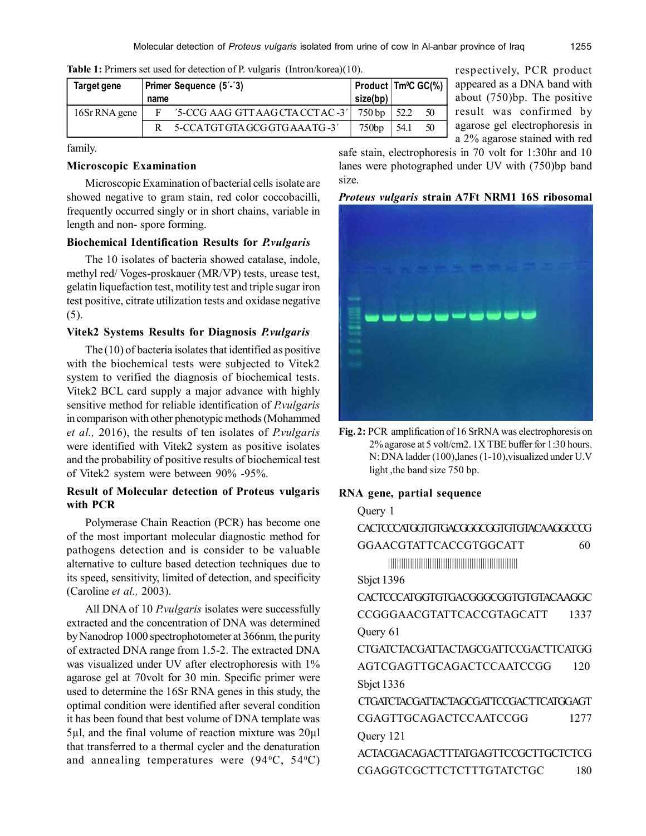| Target gene   |      | Primer Sequence (5'-'3)          | size(bp) | $\vert$ Product $\vert$ Tm <sup>o</sup> C GC(%) |    |
|---------------|------|----------------------------------|----------|-------------------------------------------------|----|
|               | name |                                  |          |                                                 |    |
| 16Sr RNA gene |      | '5-CCG AAG GTT AAG CTA CCTAC -3' | 750 bp   | 52.2                                            | 50 |
|               |      | 5-CCATGT GTA GCG GTG AAATG -3    | 750bp    | 54.1                                            | 50 |

**Table 1:** Primers set used for detection of P. vulgaris (Intron/korea)(10).

family.

#### **Microscopic Examination**

Microscopic Examination of bacterial cells isolate are showed negative to gram stain, red color coccobacilli, frequently occurred singly or in short chains, variable in length and non- spore forming.

# **Biochemical Identification Results for** *P.vulgaris*

The 10 isolates of bacteria showed catalase, indole, methyl red/ Voges-proskauer (MR/VP) tests, urease test, gelatin liquefaction test, motility test and triple sugar iron test positive, citrate utilization tests and oxidase negative  $(5)$ .

# **Vitek2 Systems Results for Diagnosis** *P.vulgaris*

The (10) of bacteria isolates that identified as positive with the biochemical tests were subjected to Vitek2 system to verified the diagnosis of biochemical tests. Vitek2 BCL card supply a major advance with highly sensitive method for reliable identification of *P.vulgaris* in comparison with other phenotypic methods (Mohammed *et al.,* 2016), the results of ten isolates of *P.vulgaris* were identified with Vitek2 system as positive isolates and the probability of positive results of biochemical test of Vitek2 system were between 90% -95%.

# **Result of Molecular detection of Proteus vulgaris with PCR**

Polymerase Chain Reaction (PCR) has become one of the most important molecular diagnostic method for pathogens detection and is consider to be valuable alternative to culture based detection techniques due to its speed, sensitivity, limited of detection, and specificity (Caroline *et al.,* 2003).

All DNA of 10 *P.vulgaris* isolates were successfully extracted and the concentration of DNA was determined by Nanodrop 1000 spectrophotometer at 366nm, the purity of extracted DNA range from 1.5-2. The extracted DNA was visualized under UV after electrophoresis with 1% agarose gel at 70volt for 30 min. Specific primer were used to determine the 16Sr RNA genes in this study, the optimal condition were identified after several condition it has been found that best volume of DNA template was 5µl, and the final volume of reaction mixture was 20µl that transferred to a thermal cycler and the denaturation and annealing temperatures were  $(94\text{°C}, 54\text{°C})$ 

respectively, PCR product appeared as a DNA band with about (750)bp. The positive result was confirmed by agarose gel electrophoresis in a 2% agarose stained with red

safe stain, electrophoresis in 70 volt for 1:30hr and 10 lanes were photographed under UV with (750)bp band size.

*Proteus vulgaris* **strain A7Ft NRM1 16S ribosomal**



**Fig. 2:** PCR amplification of 16 SrRNA was electrophoresis on 2% agarose at 5 volt/cm2. 1X TBE buffer for 1:30 hours. N: DNA ladder (100),lanes (1-10),visualized under U.V light ,the band size 750 bp.

# **RNA gene, partial sequence**

 $Q_{\text{lower}}$  1

| OUCIV <sub>I</sub>                     |      |
|----------------------------------------|------|
| CACTCCCATGGTGTGACGGGCGGTGTGTACAAGGCCCG |      |
| GGAACGTATTCACCGTGGCATT                 | 60   |
|                                        |      |
| Sbjct $1396$                           |      |
| CACTCCCATGGTGTGACGGGCGGTGTGTACAAGGC    |      |
| CCGGGAACGTATTCACCGTAGCATT              | 1337 |
| Query 61                               |      |
| CTGATCTACGATTACTAGCGATTCCGACTTCATGG    |      |
| AGTCGAGTTGCAGACTCCAATCCGG              | 120  |
| Sbjct $1336$                           |      |
| CTGATCTACGATTACTAGCGATTCCGACTTCATGGAGT |      |
| CGAGTTGCAGACTCCAATCCGG                 | 1277 |
| Query 121                              |      |
| ACTACGACAGACTTTATGAGTTCCGCTTGCTCTCG    |      |
| CGAGGTCGCTTCTCTTTGTATCTGC              | 180  |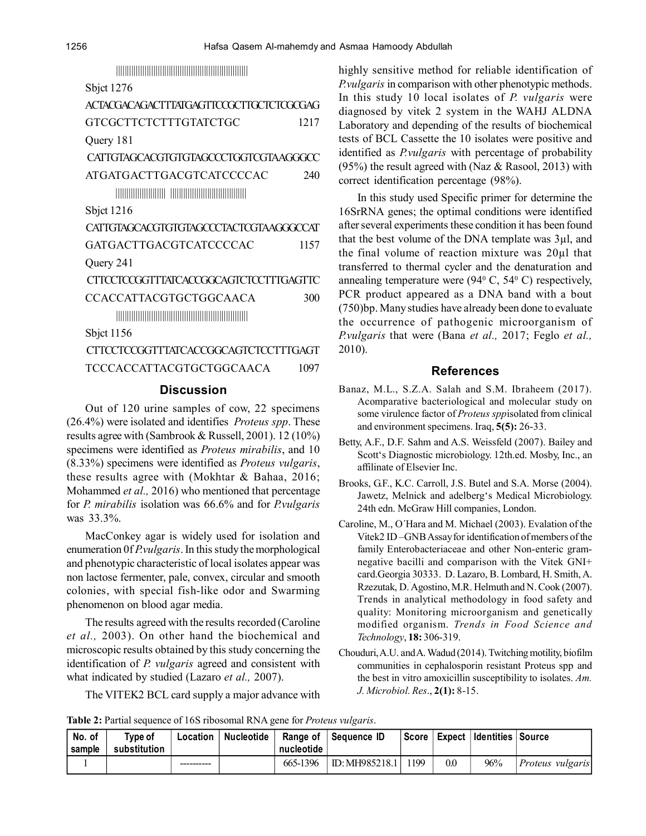||||||||||||||||||||||||||||||||||||||||||||||||||||||||||||

Sbjct 1276

| ACTACGACAGACITTATGAGITCCGCITGCTCTCGCGAG |      |  |  |  |
|-----------------------------------------|------|--|--|--|
| GTCGCTTCTCTTTGTATCTGC                   |      |  |  |  |
| Query 181                               |      |  |  |  |
| CATTGTAGCACGTGTGTAGCCCTGGTCGTAAGGGCC    |      |  |  |  |
| ATGATGACTTGACGTCATCCCCAC                | 240  |  |  |  |
|                                         |      |  |  |  |
| Sbjct $1216$                            |      |  |  |  |
| CAITGTAGCACGTGTGTAGCCCTACTCGTAAGGGCCAT  |      |  |  |  |
| GATGACTTGACGTCATCCCCAC                  | 1157 |  |  |  |
| Query 241                               |      |  |  |  |
| CITCCTCCGGTTTATCACCGGCAGTCTCCTTTGAGTTC  |      |  |  |  |
| CCACCATTACGTGCTGGCAACA                  | 300  |  |  |  |
|                                         |      |  |  |  |
| Sbjct $1156$                            |      |  |  |  |
| CITCCTCCGGTTTATCACCGGCAGTCTCCTTTGAGT    |      |  |  |  |
| TCCCACCATTACGTGCTGGCAACA                | 1097 |  |  |  |

#### **Discussion**

Out of 120 urine samples of cow, 22 specimens (26.4%) were isolated and identifies *Proteus spp*. These results agree with (Sambrook & Russell, 2001). 12 (10%) specimens were identified as *Proteus mirabilis*, and 10 (8.33%) specimens were identified as *Proteus vulgaris*, these results agree with (Mokhtar & Bahaa, 2016; Mohammed *et al.,* 2016) who mentioned that percentage for *P. mirabilis* isolation was 66.6% and for *P.vulgaris* was 33.3%.

MacConkey agar is widely used for isolation and enumeration 0f *P.vulgaris*. In this study the morphological and phenotypic characteristic of local isolates appear was non lactose fermenter, pale, convex, circular and smooth colonies, with special fish-like odor and Swarming phenomenon on blood agar media.

The results agreed with the results recorded (Caroline *et al.,* 2003). On other hand the biochemical and microscopic results obtained by this study concerning the identification of *P. vulgaris* agreed and consistent with what indicated by studied (Lazaro *et al.,* 2007).

The VITEK2 BCL card supply a major advance with

highly sensitive method for reliable identification of *P.vulgaris* in comparison with other phenotypic methods. In this study 10 local isolates of *P. vulgaris* were diagnosed by vitek 2 system in the WAHJ ALDNA Laboratory and depending of the results of biochemical tests of BCL Cassette the 10 isolates were positive and identified as *P.vulgaris* with percentage of probability  $(95%)$  the result agreed with (Naz & Rasool, 2013) with correct identification percentage (98%).

In this study used Specific primer for determine the 16SrRNA genes; the optimal conditions were identified after several experiments these condition it has been found that the best volume of the DNA template was 3µl, and the final volume of reaction mixture was 20µl that transferred to thermal cycler and the denaturation and annealing temperature were  $(94^{\circ} \text{ C}, 54^{\circ} \text{ C})$  respectively, PCR product appeared as a DNA band with a bout (750)bp. Many studies have already been done to evaluate the occurrence of pathogenic microorganism of *P.vulgaris* that were (Bana *et al.,* 2017; Feglo *et al.,* 2010).

#### **References**

- Banaz, M.L., S.Z.A. Salah and S.M. Ibraheem (2017). Acomparative bacteriological and molecular study on some virulence factor of *Proteus spp*isolated from clinical and environment specimens. Iraq, **5(5):** 26-33.
- Betty, A.F., D.F. Sahm and A.S. Weissfeld (2007). Bailey and Scott's Diagnostic microbiology. 12th.ed. Mosby, Inc., an affilinate of Elsevier Inc.
- Brooks, G.F., K.C. Carroll, J.S. Butel and S.A. Morse (2004). Jawetz, Melnick and adelberg's Medical Microbiology. 24th edn. McGraw Hill companies, London.
- Caroline, M., O´Hara and M. Michael (2003). Evalation of the Vitek2 ID –GNB Assay for identification of members of the family Enterobacteriaceae and other Non-enteric gramnegative bacilli and comparison with the Vitek GNI+ card.Georgia 30333. D. Lazaro, B. Lombard, H. Smith, A. Rzezutak, D.´Agostino, M.R. Helmuth and N. Cook (2007). Trends in analytical methodology in food safety and quality: Monitoring microorganism and genetically modified organism. *Trends in Food Science and Technology*, **18:** 306-319.
- Chouduri, A.U. and A. Wadud (2014). Twitching motility, biofilm communities in cephalosporin resistant Proteus spp and the best in vitro amoxicillin susceptibility to isolates. *Am. J. Microbiol. Res*., **2(1):** 8-15.

|  | Table 2: Partial sequence of 16S ribosomal RNA gene for <i>Proteus vulgaris</i> . |  |  |
|--|-----------------------------------------------------------------------------------|--|--|
|--|-----------------------------------------------------------------------------------|--|--|

| No. of<br>l sample | Type of<br>substitution | Location | Nucleotide | Range of $\parallel$<br>nucleotide | Seauence ID             |      |     | Score   Expect   Identities   Source |                  |
|--------------------|-------------------------|----------|------------|------------------------------------|-------------------------|------|-----|--------------------------------------|------------------|
|                    |                         |          |            | 665-1396                           | $\text{ID: MH985218.1}$ | 1199 | 0.0 | 96%                                  | Proteus vulgaris |